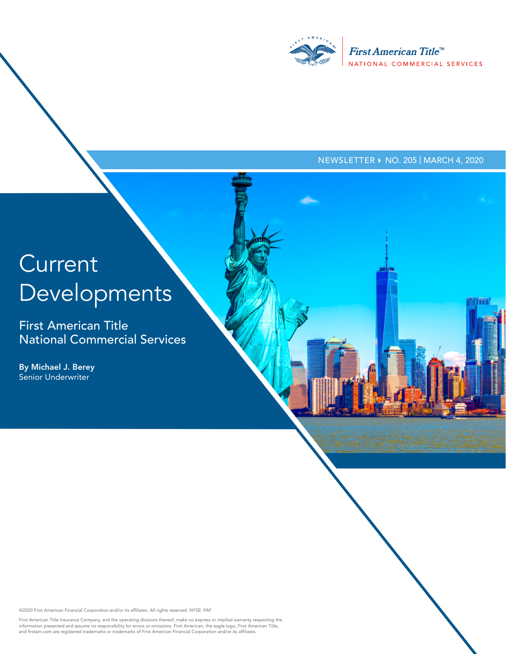

#### NEWSLETTER ▶ NO. 205 | MARCH 4, 2020

ममा

# **Current** Developments

First American Title National Commercial Services

By Michael J. Berey Senior Underwriter

©2020 First American Financial Corporation and/or its affiliates. All rights reserved. NYSE: FAF

First American Title Insurance Company, and the operating divisions thereof, make no express or implied warranty respecting the<br>information presented and assume no responsibility for errors or omissions. First American, th and firstam.com are registered trademarks or trademarks of First American Financial Corporation and/or its affiliates.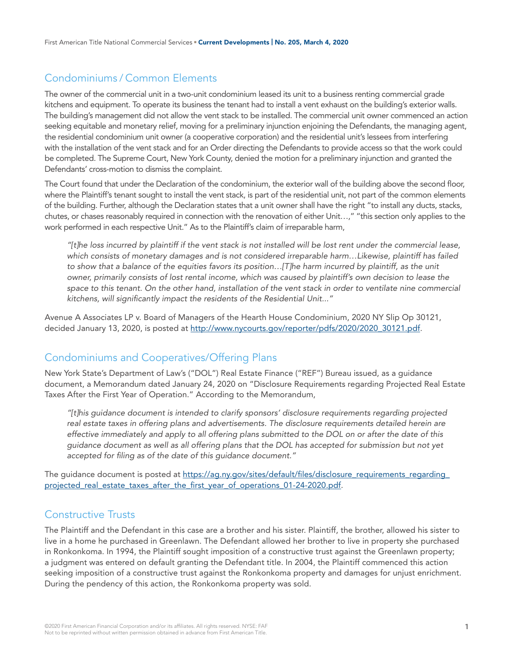# Condominiums / Common Elements

The owner of the commercial unit in a two-unit condominium leased its unit to a business renting commercial grade kitchens and equipment. To operate its business the tenant had to install a vent exhaust on the building's exterior walls. The building's management did not allow the vent stack to be installed. The commercial unit owner commenced an action seeking equitable and monetary relief, moving for a preliminary injunction enjoining the Defendants, the managing agent, the residential condominium unit owner (a cooperative corporation) and the residential unit's lessees from interfering with the installation of the vent stack and for an Order directing the Defendants to provide access so that the work could be completed. The Supreme Court, New York County, denied the motion for a preliminary injunction and granted the Defendants' cross-motion to dismiss the complaint.

The Court found that under the Declaration of the condominium, the exterior wall of the building above the second floor, where the Plaintiff's tenant sought to install the vent stack, is part of the residential unit, not part of the common elements of the building. Further, although the Declaration states that a unit owner shall have the right "to install any ducts, stacks, chutes, or chases reasonably required in connection with the renovation of either Unit…," "this section only applies to the work performed in each respective Unit." As to the Plaintiff's claim of irreparable harm,

*"[t]he loss incurred by plaintiff if the vent stack is not installed will be lost rent under the commercial lease, which consists of monetary damages and is not considered irreparable harm…Likewise, plaintiff has failed to show that a balance of the equities favors its position…[T]he harm incurred by plaintiff, as the unit owner, primarily consists of lost rental income, which was caused by plaintiff's own decision to lease the*  space to this tenant. On the other hand, installation of the vent stack in order to ventilate nine commercial *kitchens, will significantly impact the residents of the Residential Unit..."* 

Avenue A Associates LP v. Board of Managers of the Hearth House Condominium, 2020 NY Slip Op 30121, decided January 13, 2020, is posted at [http://www.nycourts.gov/reporter/pdfs/2020/2020\\_30121.pdf.](http://www.nycourts.gov/reporter/pdfs/2020/2020_30121.pdf)

#### Condominiums and Cooperatives/Offering Plans

New York State's Department of Law's ("DOL") Real Estate Finance ("REF") Bureau issued, as a guidance document, a Memorandum dated January 24, 2020 on "Disclosure Requirements regarding Projected Real Estate Taxes After the First Year of Operation." According to the Memorandum,

*"[t]his guidance document is intended to clarify sponsors' disclosure requirements regarding projected real estate taxes in offering plans and advertisements. The disclosure requirements detailed herein are effective immediately and apply to all offering plans submitted to the DOL on or after the date of this guidance document as well as all offering plans that the DOL has accepted for submission but not yet accepted for filing as of the date of this guidance document."*

The guidance document is posted at https://ag.ny.gov/sites/default/files/disclosure\_requirements\_regarding [projected\\_real\\_estate\\_taxes\\_after\\_the\\_first\\_year\\_of\\_operations\\_01-24-2020.pdf.](https://ag.ny.gov/sites/default/files/disclosure_requirements_regarding_projected_real_estate_taxes_after_the_first_year_of_operations_01-24-2020.pdf)

#### Constructive Trusts

The Plaintiff and the Defendant in this case are a brother and his sister. Plaintiff, the brother, allowed his sister to live in a home he purchased in Greenlawn. The Defendant allowed her brother to live in property she purchased in Ronkonkoma. In 1994, the Plaintiff sought imposition of a constructive trust against the Greenlawn property; a judgment was entered on default granting the Defendant title. In 2004, the Plaintiff commenced this action seeking imposition of a constructive trust against the Ronkonkoma property and damages for unjust enrichment. During the pendency of this action, the Ronkonkoma property was sold.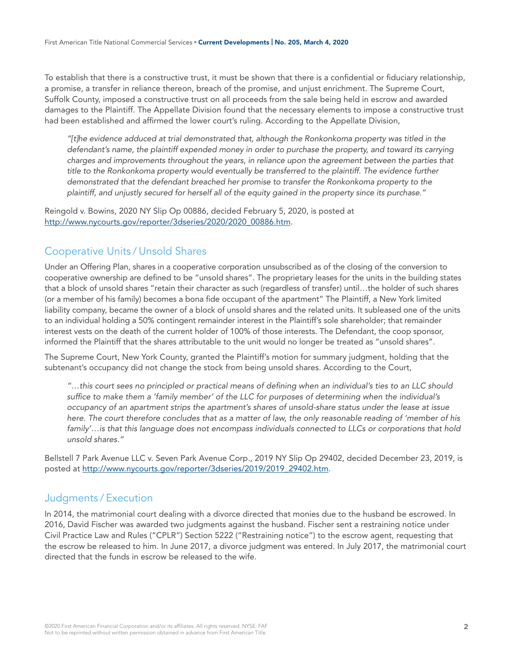To establish that there is a constructive trust, it must be shown that there is a confidential or fiduciary relationship, a promise, a transfer in reliance thereon, breach of the promise, and unjust enrichment. The Supreme Court, Suffolk County, imposed a constructive trust on all proceeds from the sale being held in escrow and awarded damages to the Plaintiff. The Appellate Division found that the necessary elements to impose a constructive trust had been established and affirmed the lower court's ruling. According to the Appellate Division,

*"[t]he evidence adduced at trial demonstrated that, although the Ronkonkoma property was titled in the defendant's name, the plaintiff expended money in order to purchase the property, and toward its carrying charges and improvements throughout the years, in reliance upon the agreement between the parties that title to the Ronkonkoma property would eventually be transferred to the plaintiff. The evidence further demonstrated that the defendant breached her promise to transfer the Ronkonkoma property to the plaintiff, and unjustly secured for herself all of the equity gained in the property since its purchase."*

Reingold v. Bowins, 2020 NY Slip Op 00886, decided February 5, 2020, is posted at [http://www.nycourts.gov/reporter/3dseries/2020/2020\\_00886.htm.](http://www.nycourts.gov/reporter/3dseries/2020/2020_00886.htm)

#### Cooperative Units / Unsold Shares

Under an Offering Plan, shares in a cooperative corporation unsubscribed as of the closing of the conversion to cooperative ownership are defined to be "unsold shares". The proprietary leases for the units in the building states that a block of unsold shares "retain their character as such (regardless of transfer) until…the holder of such shares (or a member of his family) becomes a bona fide occupant of the apartment" The Plaintiff, a New York limited liability company, became the owner of a block of unsold shares and the related units. It subleased one of the units to an individual holding a 50% contingent remainder interest in the Plaintiff's sole shareholder; that remainder interest vests on the death of the current holder of 100% of those interests. The Defendant, the coop sponsor, informed the Plaintiff that the shares attributable to the unit would no longer be treated as "unsold shares".

The Supreme Court, New York County, granted the Plaintiff's motion for summary judgment, holding that the subtenant's occupancy did not change the stock from being unsold shares. According to the Court,

*"…this court sees no principled or practical means of defining when an individual's ties to an LLC should suffice to make them a 'family member' of the LLC for purposes of determining when the individual's occupancy of an apartment strips the apartment's shares of unsold-share status under the lease at issue here. The court therefore concludes that as a matter of law, the only reasonable reading of 'member of his family'…is that this language does not encompass individuals connected to LLCs or corporations that hold unsold shares."*

Bellstell 7 Park Avenue LLC v. Seven Park Avenue Corp., 2019 NY Slip Op 29402, decided December 23, 2019, is posted at [http://www.nycourts.gov/reporter/3dseries/2019/2019\\_29402.htm.](http://www.nycourts.gov/reporter/3dseries/2019/2019_29402.htm)

#### Judgments / Execution

In 2014, the matrimonial court dealing with a divorce directed that monies due to the husband be escrowed. In 2016, David Fischer was awarded two judgments against the husband. Fischer sent a restraining notice under Civil Practice Law and Rules ("CPLR") Section 5222 ("Restraining notice") to the escrow agent, requesting that the escrow be released to him. In June 2017, a divorce judgment was entered. In July 2017, the matrimonial court directed that the funds in escrow be released to the wife.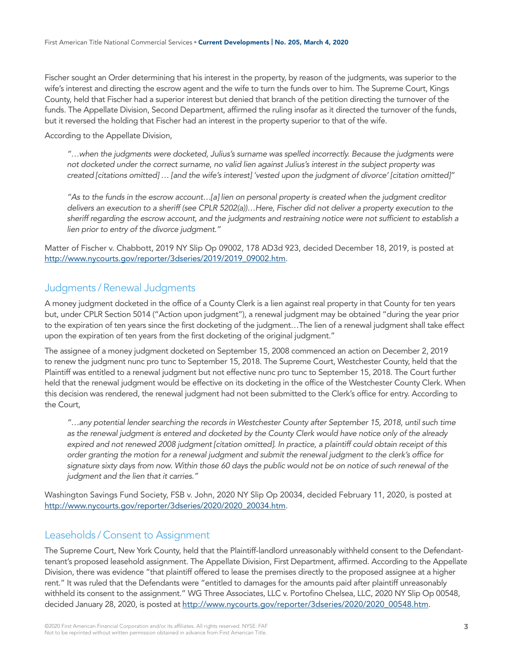Fischer sought an Order determining that his interest in the property, by reason of the judgments, was superior to the wife's interest and directing the escrow agent and the wife to turn the funds over to him. The Supreme Court, Kings County, held that Fischer had a superior interest but denied that branch of the petition directing the turnover of the funds. The Appellate Division, Second Department, affirmed the ruling insofar as it directed the turnover of the funds, but it reversed the holding that Fischer had an interest in the property superior to that of the wife.

According to the Appellate Division,

*"…when the judgments were docketed, Julius's surname was spelled incorrectly. Because the judgments were not docketed under the correct surname, no valid lien against Julius's interest in the subject property was created [citations omitted] … [and the wife's interest] 'vested upon the judgment of divorce' [citation omitted]"*

*"As to the funds in the escrow account…[a] lien on personal property is created when the judgment creditor delivers an execution to a sheriff (see CPLR 5202(a))…Here, Fischer did not deliver a property execution to the sheriff regarding the escrow account, and the judgments and restraining notice were not sufficient to establish a lien prior to entry of the divorce judgment."*

Matter of Fischer v. Chabbott, 2019 NY Slip Op 09002, 178 AD3d 923, decided December 18, 2019, is posted at [http://www.nycourts.gov/reporter/3dseries/2019/2019\\_09002.htm.](http://www.nycourts.gov/reporter/3dseries/2019/2019_09002.htm)

#### Judgments / Renewal Judgments

A money judgment docketed in the office of a County Clerk is a lien against real property in that County for ten years but, under CPLR Section 5014 ("Action upon judgment"), a renewal judgment may be obtained "during the year prior to the expiration of ten years since the first docketing of the judgment…The lien of a renewal judgment shall take effect upon the expiration of ten years from the first docketing of the original judgment."

The assignee of a money judgment docketed on September 15, 2008 commenced an action on December 2, 2019 to renew the judgment nunc pro tunc to September 15, 2018. The Supreme Court, Westchester County, held that the Plaintiff was entitled to a renewal judgment but not effective nunc pro tunc to September 15, 2018. The Court further held that the renewal judgment would be effective on its docketing in the office of the Westchester County Clerk. When this decision was rendered, the renewal judgment had not been submitted to the Clerk's office for entry. According to the Court,

*"…any potential lender searching the records in Westchester County after September 15, 2018, until such time as the renewal judgment is entered and docketed by the County Clerk would have notice only of the already*  expired and not renewed 2008 judgment *[citation omitted]*. In practice, a plaintiff could obtain receipt of this *order granting the motion for a renewal judgment and submit the renewal judgment to the clerk's office for signature sixty days from now. Within those 60 days the public would not be on notice of such renewal of the judgment and the lien that it carries."*

Washington Savings Fund Society, FSB v. John, 2020 NY Slip Op 20034, decided February 11, 2020, is posted at [http://www.nycourts.gov/reporter/3dseries/2020/2020\\_20034.htm.](http://www.nycourts.gov/reporter/3dseries/2020/2020_20034.htm)

#### Leaseholds / Consent to Assignment

The Supreme Court, New York County, held that the Plaintiff-landlord unreasonably withheld consent to the Defendanttenant's proposed leasehold assignment. The Appellate Division, First Department, affirmed. According to the Appellate Division, there was evidence "that plaintiff offered to lease the premises directly to the proposed assignee at a higher rent." It was ruled that the Defendants were "entitled to damages for the amounts paid after plaintiff unreasonably withheld its consent to the assignment." WG Three Associates, LLC v. Portofino Chelsea, LLC, 2020 NY Slip Op 00548, decided January 28, 2020, is posted at [http://www.nycourts.gov/reporter/3dseries/2020/2020\\_00548.htm.](http://www.nycourts.gov/reporter/3dseries/2020/2020_00548.htm)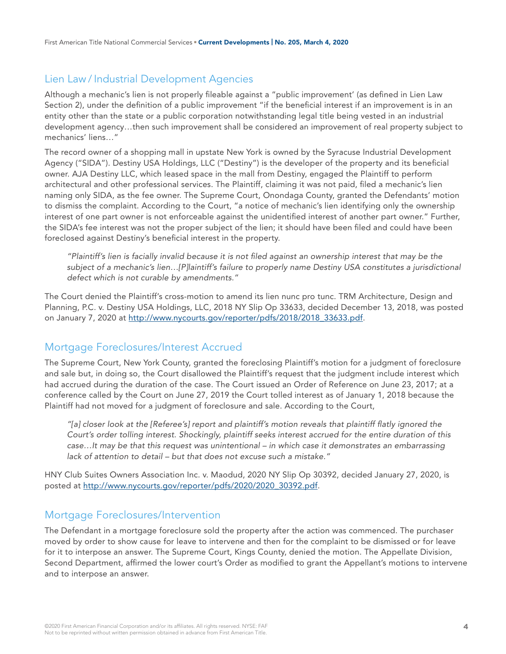# Lien Law / Industrial Development Agencies

Although a mechanic's lien is not properly fileable against a "public improvement' (as defined in Lien Law Section 2), under the definition of a public improvement "if the beneficial interest if an improvement is in an entity other than the state or a public corporation notwithstanding legal title being vested in an industrial development agency…then such improvement shall be considered an improvement of real property subject to mechanics' liens…"

The record owner of a shopping mall in upstate New York is owned by the Syracuse Industrial Development Agency ("SIDA"). Destiny USA Holdings, LLC ("Destiny") is the developer of the property and its beneficial owner. AJA Destiny LLC, which leased space in the mall from Destiny, engaged the Plaintiff to perform architectural and other professional services. The Plaintiff, claiming it was not paid, filed a mechanic's lien naming only SIDA, as the fee owner. The Supreme Court, Onondaga County, granted the Defendants' motion to dismiss the complaint. According to the Court, "a notice of mechanic's lien identifying only the ownership interest of one part owner is not enforceable against the unidentified interest of another part owner." Further, the SIDA's fee interest was not the proper subject of the lien; it should have been filed and could have been foreclosed against Destiny's beneficial interest in the property.

*"Plaintiff's lien is facially invalid because it is not filed against an ownership interest that may be the*  subject of a mechanic's lien...[P]laintiff's failure to properly name Destiny USA constitutes a jurisdictional *defect which is not curable by amendments."*

The Court denied the Plaintiff's cross-motion to amend its lien nunc pro tunc. TRM Architecture, Design and Planning, P.C. v. Destiny USA Holdings, LLC, 2018 NY Slip Op 33633, decided December 13, 2018, was posted on January 7, 2020 at [http://www.nycourts.gov/reporter/pdfs/2018/2018\\_33633.pdf](http://www.nycourts.gov/reporter/pdfs/2018/2018_33633.pdf).

# Mortgage Foreclosures/Interest Accrued

The Supreme Court, New York County, granted the foreclosing Plaintiff's motion for a judgment of foreclosure and sale but, in doing so, the Court disallowed the Plaintiff's request that the judgment include interest which had accrued during the duration of the case. The Court issued an Order of Reference on June 23, 2017; at a conference called by the Court on June 27, 2019 the Court tolled interest as of January 1, 2018 because the Plaintiff had not moved for a judgment of foreclosure and sale. According to the Court,

*"[a] closer look at the [Referee's] report and plaintiff's motion reveals that plaintiff flatly ignored the Court's order tolling interest. Shockingly, plaintiff seeks interest accrued for the entire duration of this case…It may be that this request was unintentional – in which case it demonstrates an embarrassing lack of attention to detail – but that does not excuse such a mistake."*

HNY Club Suites Owners Association Inc. v. Maodud, 2020 NY Slip Op 30392, decided January 27, 2020, is posted at [http://www.nycourts.gov/reporter/pdfs/2020/2020\\_30392.pdf](http://www.nycourts.gov/reporter/pdfs/2020/2020_30392.pdf).

# Mortgage Foreclosures/Intervention

The Defendant in a mortgage foreclosure sold the property after the action was commenced. The purchaser moved by order to show cause for leave to intervene and then for the complaint to be dismissed or for leave for it to interpose an answer. The Supreme Court, Kings County, denied the motion. The Appellate Division, Second Department, affirmed the lower court's Order as modified to grant the Appellant's motions to intervene and to interpose an answer.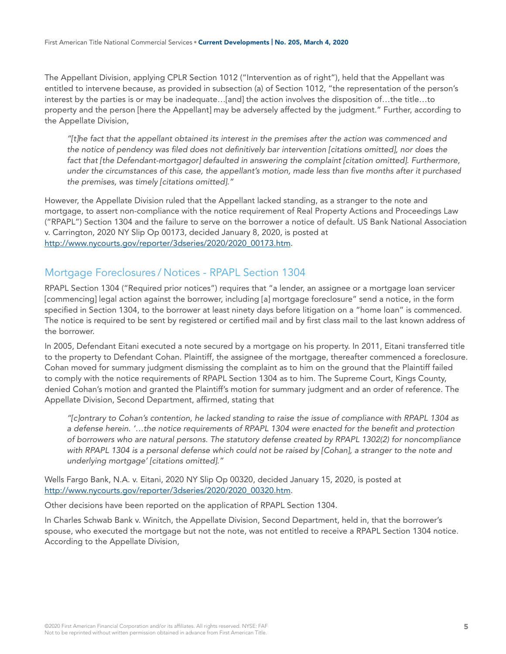The Appellant Division, applying CPLR Section 1012 ("Intervention as of right"), held that the Appellant was entitled to intervene because, as provided in subsection (a) of Section 1012, "the representation of the person's interest by the parties is or may be inadequate…[and] the action involves the disposition of…the title…to property and the person [here the Appellant] may be adversely affected by the judgment." Further, according to the Appellate Division,

*"[t]he fact that the appellant obtained its interest in the premises after the action was commenced and the notice of pendency was filed does not definitively bar intervention [citations omitted], nor does the fact that [the Defendant-mortgagor] defaulted in answering the complaint [citation omitted]. Furthermore, under the circumstances of this case, the appellant's motion, made less than five months after it purchased the premises, was timely [citations omitted]."*

However, the Appellate Division ruled that the Appellant lacked standing, as a stranger to the note and mortgage, to assert non-compliance with the notice requirement of Real Property Actions and Proceedings Law ("RPAPL") Section 1304 and the failure to serve on the borrower a notice of default. US Bank National Association v. Carrington, 2020 NY Slip Op 00173, decided January 8, 2020, is posted at [http://www.nycourts.gov/reporter/3dseries/2020/2020\\_00173.htm.](http://www.nycourts.gov/reporter/3dseries/2020/2020_00173.htm)

# Mortgage Foreclosures / Notices - RPAPL Section 1304

RPAPL Section 1304 ("Required prior notices") requires that "a lender, an assignee or a mortgage loan servicer [commencing] legal action against the borrower, including [a] mortgage foreclosure" send a notice, in the form specified in Section 1304, to the borrower at least ninety days before litigation on a "home loan" is commenced. The notice is required to be sent by registered or certified mail and by first class mail to the last known address of the borrower.

In 2005, Defendant Eitani executed a note secured by a mortgage on his property. In 2011, Eitani transferred title to the property to Defendant Cohan. Plaintiff, the assignee of the mortgage, thereafter commenced a foreclosure. Cohan moved for summary judgment dismissing the complaint as to him on the ground that the Plaintiff failed to comply with the notice requirements of RPAPL Section 1304 as to him. The Supreme Court, Kings County, denied Cohan's motion and granted the Plaintiff's motion for summary judgment and an order of reference. The Appellate Division, Second Department, affirmed, stating that

*"[c]ontrary to Cohan's contention, he lacked standing to raise the issue of compliance with RPAPL 1304 as a defense herein. '…the notice requirements of RPAPL 1304 were enacted for the benefit and protection of borrowers who are natural persons. The statutory defense created by RPAPL 1302(2) for noncompliance with RPAPL 1304 is a personal defense which could not be raised by [Cohan], a stranger to the note and underlying mortgage' [citations omitted]."*

Wells Fargo Bank, N.A. v. Eitani, 2020 NY Slip Op 00320, decided January 15, 2020, is posted at [http://www.nycourts.gov/reporter/3dseries/2020/2020\\_00320.htm.](http://www.nycourts.gov/reporter/3dseries/2020/2020_00320.htm)

Other decisions have been reported on the application of RPAPL Section 1304.

In Charles Schwab Bank v. Winitch, the Appellate Division, Second Department, held in, that the borrower's spouse, who executed the mortgage but not the note, was not entitled to receive a RPAPL Section 1304 notice. According to the Appellate Division,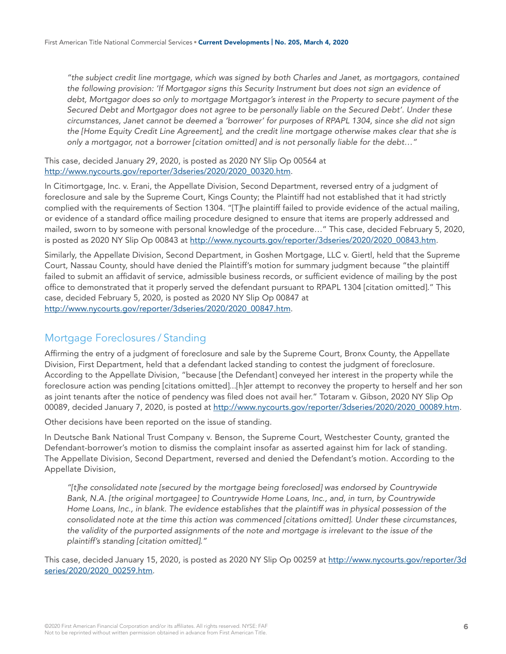*"the subject credit line mortgage, which was signed by both Charles and Janet, as mortgagors, contained the following provision: 'If Mortgagor signs this Security Instrument but does not sign an evidence of debt, Mortgagor does so only to mortgage Mortgagor's interest in the Property to secure payment of the Secured Debt and Mortgagor does not agree to be personally liable on the Secured Debt'. Under these circumstances, Janet cannot be deemed a 'borrower' for purposes of RPAPL 1304, since she did not sign the [Home Equity Credit Line Agreement], and the credit line mortgage otherwise makes clear that she is only a mortgagor, not a borrower [citation omitted] and is not personally liable for the debt…"*

This case, decided January 29, 2020, is posted as 2020 NY Slip Op 00564 at [http://www.nycourts.gov/reporter/3dseries/2020/2020\\_00320.htm.](http://www.nycourts.gov/reporter/3dseries/2020/2020_00320.htm)

In Citimortgage, Inc. v. Erani, the Appellate Division, Second Department, reversed entry of a judgment of foreclosure and sale by the Supreme Court, Kings County; the Plaintiff had not established that it had strictly complied with the requirements of Section 1304. "[T]he plaintiff failed to provide evidence of the actual mailing, or evidence of a standard office mailing procedure designed to ensure that items are properly addressed and mailed, sworn to by someone with personal knowledge of the procedure…" This case, decided February 5, 2020, is posted as 2020 NY Slip Op 00843 at [http://www.nycourts.gov/reporter/3dseries/2020/2020\\_00843.htm.](http://www.nycourts.gov/reporter/3dseries/2020/2020_00843.htm)

Similarly, the Appellate Division, Second Department, in Goshen Mortgage, LLC v. Giertl, held that the Supreme Court, Nassau County, should have denied the Plaintiff's motion for summary judgment because "the plaintiff failed to submit an affidavit of service, admissible business records, or sufficient evidence of mailing by the post office to demonstrated that it properly served the defendant pursuant to RPAPL 1304 [citation omitted]." This case, decided February 5, 2020, is posted as 2020 NY Slip Op 00847 at [http://www.nycourts.gov/reporter/3dseries/2020/2020\\_00847.htm.](http://www.nycourts.gov/reporter/3dseries/2020/2020_00847.htm)

#### Mortgage Foreclosures / Standing

Affirming the entry of a judgment of foreclosure and sale by the Supreme Court, Bronx County, the Appellate Division, First Department, held that a defendant lacked standing to contest the judgment of foreclosure. According to the Appellate Division, "because [the Defendant] conveyed her interest in the property while the foreclosure action was pending [citations omitted]...[h]er attempt to reconvey the property to herself and her son as joint tenants after the notice of pendency was filed does not avail her." Totaram v. Gibson, 2020 NY Slip Op 00089, decided January 7, 2020, is posted at [http://www.nycourts.gov/reporter/3dseries/2020/2020\\_00089.htm](http://www.nycourts.gov/reporter/3dseries/2020/2020_00089.htm).

Other decisions have been reported on the issue of standing.

In Deutsche Bank National Trust Company v. Benson, the Supreme Court, Westchester County, granted the Defendant-borrower's motion to dismiss the complaint insofar as asserted against him for lack of standing. The Appellate Division, Second Department, reversed and denied the Defendant's motion. According to the Appellate Division,

*"[t]he consolidated note [secured by the mortgage being foreclosed] was endorsed by Countrywide Bank, N.A. [the original mortgagee] to Countrywide Home Loans, Inc., and, in turn, by Countrywide Home Loans, Inc., in blank. The evidence establishes that the plaintiff was in physical possession of the consolidated note at the time this action was commenced [citations omitted]. Under these circumstances, the validity of the purported assignments of the note and mortgage is irrelevant to the issue of the plaintiff's standing [citation omitted]."*

This case, decided January 15, 2020, is posted as 2020 NY Slip Op 00259 at [http://www.nycourts.gov/reporter/3d](http://www.nycourts.gov/reporter/3dseries/2020/2020_00259.htm) [series/2020/2020\\_00259.htm.](http://www.nycourts.gov/reporter/3dseries/2020/2020_00259.htm)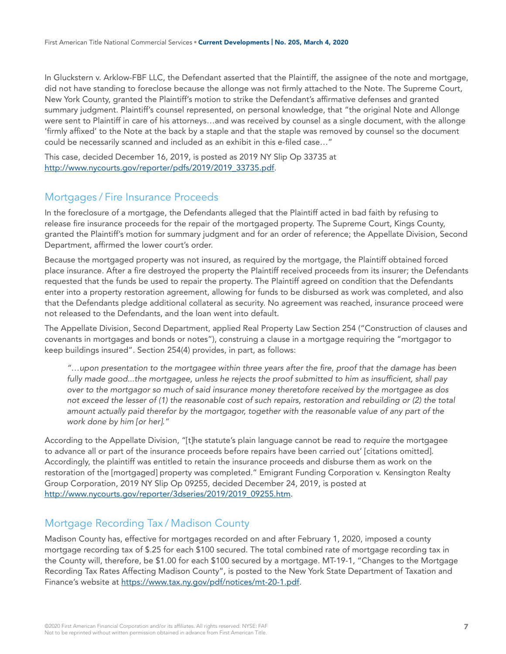In Gluckstern v. Arklow-FBF LLC, the Defendant asserted that the Plaintiff, the assignee of the note and mortgage, did not have standing to foreclose because the allonge was not firmly attached to the Note. The Supreme Court, New York County, granted the Plaintiff's motion to strike the Defendant's affirmative defenses and granted summary judgment. Plaintiff's counsel represented, on personal knowledge, that "the original Note and Allonge were sent to Plaintiff in care of his attorneys…and was received by counsel as a single document, with the allonge 'firmly affixed' to the Note at the back by a staple and that the staple was removed by counsel so the document could be necessarily scanned and included as an exhibit in this e-filed case…"

This case, decided December 16, 2019, is posted as 2019 NY Slip Op 33735 at [http://www.nycourts.gov/reporter/pdfs/2019/2019\\_33735.pdf.](http://www.nycourts.gov/reporter/pdfs/2019/2019_33735.pdf)

#### Mortgages / Fire Insurance Proceeds

In the foreclosure of a mortgage, the Defendants alleged that the Plaintiff acted in bad faith by refusing to release fire insurance proceeds for the repair of the mortgaged property. The Supreme Court, Kings County, granted the Plaintiff's motion for summary judgment and for an order of reference; the Appellate Division, Second Department, affirmed the lower court's order.

Because the mortgaged property was not insured, as required by the mortgage, the Plaintiff obtained forced place insurance. After a fire destroyed the property the Plaintiff received proceeds from its insurer; the Defendants requested that the funds be used to repair the property. The Plaintiff agreed on condition that the Defendants enter into a property restoration agreement, allowing for funds to be disbursed as work was completed, and also that the Defendants pledge additional collateral as security. No agreement was reached, insurance proceed were not released to the Defendants, and the loan went into default.

The Appellate Division, Second Department, applied Real Property Law Section 254 ("Construction of clauses and covenants in mortgages and bonds or notes"), construing a clause in a mortgage requiring the "mortgagor to keep buildings insured". Section 254(4) provides, in part, as follows:

*"…upon presentation to the mortgagee within three years after the fire, proof that the damage has been fully made good...the mortgagee, unless he rejects the proof submitted to him as insufficient, shall pay over to the mortgagor so much of said insurance money theretofore received by the mortgagee as dos*  not exceed the lesser of (1) the reasonable cost of such repairs, restoration and rebuilding or (2) the total *amount actually paid therefor by the mortgagor, together with the reasonable value of any part of the work done by him [or her]."*

According to the Appellate Division, "[t]he statute's plain language cannot be read to *require* the mortgagee to advance all or part of the insurance proceeds before repairs have been carried out' [citations omitted]. Accordingly, the plaintiff was entitled to retain the insurance proceeds and disburse them as work on the restoration of the [mortgaged] property was completed." Emigrant Funding Corporation v. Kensington Realty Group Corporation, 2019 NY Slip Op 09255, decided December 24, 2019, is posted at [http://www.nycourts.gov/reporter/3dseries/2019/2019\\_09255.htm.](http://www.nycourts.gov/reporter/3dseries/2019/2019_09255.htm)

# Mortgage Recording Tax / Madison County

Madison County has, effective for mortgages recorded on and after February 1, 2020, imposed a county mortgage recording tax of \$.25 for each \$100 secured. The total combined rate of mortgage recording tax in the County will, therefore, be \$1.00 for each \$100 secured by a mortgage. MT-19-1, "Changes to the Mortgage Recording Tax Rates Affecting Madison County", is posted to the New York State Department of Taxation and Finance's website at <https://www.tax.ny.gov/pdf/notices/mt-20-1.pdf>.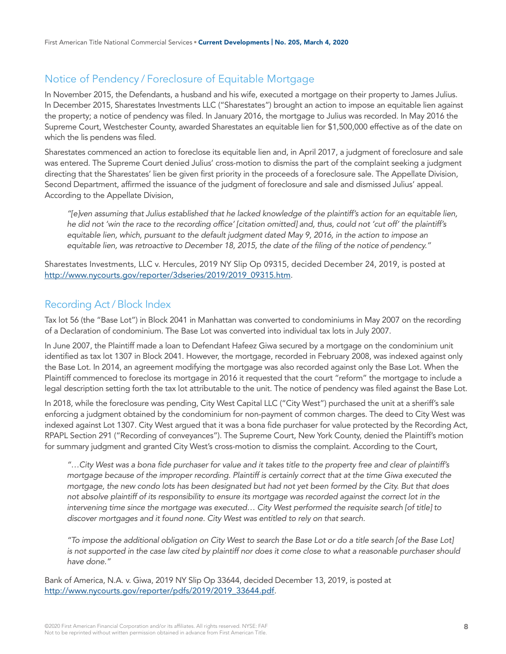# Notice of Pendency / Foreclosure of Equitable Mortgage

In November 2015, the Defendants, a husband and his wife, executed a mortgage on their property to James Julius. In December 2015, Sharestates Investments LLC ("Sharestates") brought an action to impose an equitable lien against the property; a notice of pendency was filed. In January 2016, the mortgage to Julius was recorded. In May 2016 the Supreme Court, Westchester County, awarded Sharestates an equitable lien for \$1,500,000 effective as of the date on which the lis pendens was filed.

Sharestates commenced an action to foreclose its equitable lien and, in April 2017, a judgment of foreclosure and sale was entered. The Supreme Court denied Julius' cross-motion to dismiss the part of the complaint seeking a judgment directing that the Sharestates' lien be given first priority in the proceeds of a foreclosure sale. The Appellate Division, Second Department, affirmed the issuance of the judgment of foreclosure and sale and dismissed Julius' appeal. According to the Appellate Division,

*"[e]ven assuming that Julius established that he lacked knowledge of the plaintiff's action for an equitable lien, he did not 'win the race to the recording office' [citation omitted] and, thus, could not 'cut off' the plaintiff's equitable lien, which, pursuant to the default judgment dated May 9, 2016, in the action to impose an equitable lien, was retroactive to December 18, 2015, the date of the filing of the notice of pendency."*

Sharestates Investments, LLC v. Hercules, 2019 NY Slip Op 09315, decided December 24, 2019, is posted at [http://www.nycourts.gov/reporter/3dseries/2019/2019\\_09315.htm.](http://www.nycourts.gov/reporter/3dseries/2019/2019_09315.htm)

# Recording Act / Block Index

Tax lot 56 (the "Base Lot") in Block 2041 in Manhattan was converted to condominiums in May 2007 on the recording of a Declaration of condominium. The Base Lot was converted into individual tax lots in July 2007.

In June 2007, the Plaintiff made a loan to Defendant Hafeez Giwa secured by a mortgage on the condominium unit identified as tax lot 1307 in Block 2041. However, the mortgage, recorded in February 2008, was indexed against only the Base Lot. In 2014, an agreement modifying the mortgage was also recorded against only the Base Lot. When the Plaintiff commenced to foreclose its mortgage in 2016 it requested that the court "reform" the mortgage to include a legal description setting forth the tax lot attributable to the unit. The notice of pendency was filed against the Base Lot.

In 2018, while the foreclosure was pending, City West Capital LLC ("City West") purchased the unit at a sheriff's sale enforcing a judgment obtained by the condominium for non-payment of common charges. The deed to City West was indexed against Lot 1307. City West argued that it was a bona fide purchaser for value protected by the Recording Act, RPAPL Section 291 ("Recording of conveyances"). The Supreme Court, New York County, denied the Plaintiff's motion for summary judgment and granted City West's cross-motion to dismiss the complaint. According to the Court,

*"…City West was a bona fide purchaser for value and it takes title to the property free and clear of plaintiff's mortgage because of the improper recording. Plaintiff is certainly correct that at the time Giwa executed the mortgage, the new condo lots has been designated but had not yet been formed by the City. But that does not absolve plaintiff of its responsibility to ensure its mortgage was recorded against the correct lot in the intervening time since the mortgage was executed… City West performed the requisite search [of title] to discover mortgages and it found none. City West was entitled to rely on that search.*

*"To impose the additional obligation on City West to search the Base Lot or do a title search [of the Base Lot] is not supported in the case law cited by plaintiff nor does it come close to what a reasonable purchaser should have done."*

Bank of America, N.A. v. Giwa, 2019 NY Slip Op 33644, decided December 13, 2019, is posted at [http://www.nycourts.gov/reporter/pdfs/2019/2019\\_33644.pdf.](http://www.nycourts.gov/reporter/pdfs/2019/2019_33644.pdf)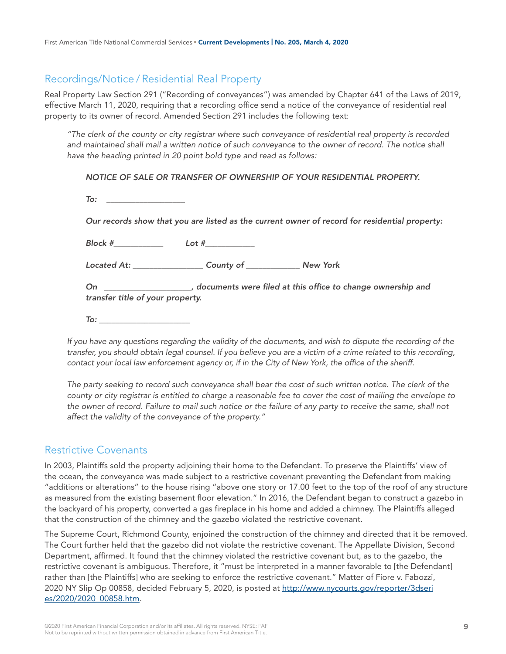# Recordings/Notice / Residential Real Property

Real Property Law Section 291 ("Recording of conveyances") was amended by Chapter 641 of the Laws of 2019, effective March 11, 2020, requiring that a recording office send a notice of the conveyance of residential real property to its owner of record. Amended Section 291 includes the following text:

*"The clerk of the county or city registrar where such conveyance of residential real property is recorded*  and maintained shall mail a written notice of such conveyance to the owner of record. The notice shall *have the heading printed in 20 point bold type and read as follows:* 

#### *NOTICE OF SALE OR TRANSFER OF OWNERSHIP OF YOUR RESIDENTIAL PROPERTY.*

| Our records show that you are listed as the current owner of record for residential property:                              |                                |  |
|----------------------------------------------------------------------------------------------------------------------------|--------------------------------|--|
| Block #____________                                                                                                        |                                |  |
|                                                                                                                            | Located At: County of New York |  |
| On ______________________, documents were filed at this office to change ownership and<br>transfer title of your property. |                                |  |
| To: _______________________                                                                                                |                                |  |

*If you have any questions regarding the validity of the documents, and wish to dispute the recording of the transfer, you should obtain legal counsel. If you believe you are a victim of a crime related to this recording, contact your local law enforcement agency or, if in the City of New York, the office of the sheriff.* 

The party seeking to record such conveyance shall bear the cost of such written notice. The clerk of the *county or city registrar is entitled to charge a reasonable fee to cover the cost of mailing the envelope to the owner of record. Failure to mail such notice or the failure of any party to receive the same, shall not affect the validity of the conveyance of the property."*

#### Restrictive Covenants

In 2003, Plaintiffs sold the property adjoining their home to the Defendant. To preserve the Plaintiffs' view of the ocean, the conveyance was made subject to a restrictive covenant preventing the Defendant from making "additions or alterations" to the house rising "above one story or 17.00 feet to the top of the roof of any structure as measured from the existing basement floor elevation." In 2016, the Defendant began to construct a gazebo in the backyard of his property, converted a gas fireplace in his home and added a chimney. The Plaintiffs alleged that the construction of the chimney and the gazebo violated the restrictive covenant.

The Supreme Court, Richmond County, enjoined the construction of the chimney and directed that it be removed. The Court further held that the gazebo did not violate the restrictive covenant. The Appellate Division, Second Department, affirmed. It found that the chimney violated the restrictive covenant but, as to the gazebo, the restrictive covenant is ambiguous. Therefore, it "must be interpreted in a manner favorable to [the Defendant] rather than [the Plaintiffs] who are seeking to enforce the restrictive covenant." Matter of Fiore v. Fabozzi, 2020 NY Slip Op 00858, decided February 5, 2020, is posted at [http://www.nycourts.gov/reporter/3dseri](http://www.nycourts.gov/reporter/3dseries/2020/2020_00858.htm) [es/2020/2020\\_00858.htm.](http://www.nycourts.gov/reporter/3dseries/2020/2020_00858.htm)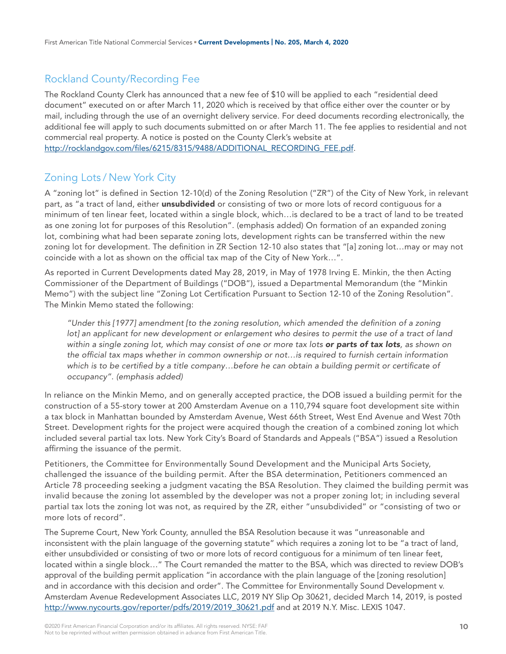# Rockland County/Recording Fee

The Rockland County Clerk has announced that a new fee of \$10 will be applied to each "residential deed document" executed on or after March 11, 2020 which is received by that office either over the counter or by mail, including through the use of an overnight delivery service. For deed documents recording electronically, the additional fee will apply to such documents submitted on or after March 11. The fee applies to residential and not commercial real property. A notice is posted on the County Clerk's website at [http://rocklandgov.com/files/6215/8315/9488/ADDITIONAL\\_RECORDING\\_FEE.pdf.](http://rocklandgov.com/files/6215/8315/9488/ADDITIONAL_RECORDING_FEE.pdf)

# Zoning Lots / New York City

A "zoning lot" is defined in Section 12-10(d) of the Zoning Resolution ("ZR") of the City of New York, in relevant part, as "a tract of land, either *unsubdivided* or consisting of two or more lots of record contiguous for a minimum of ten linear feet, located within a single block, which…is declared to be a tract of land to be treated as one zoning lot for purposes of this Resolution". (emphasis added) On formation of an expanded zoning lot, combining what had been separate zoning lots, development rights can be transferred within the new zoning lot for development. The definition in ZR Section 12-10 also states that "[a] zoning lot…may or may not coincide with a lot as shown on the official tax map of the City of New York…".

As reported in Current Developments dated May 28, 2019, in May of 1978 Irving E. Minkin, the then Acting Commissioner of the Department of Buildings ("DOB"), issued a Departmental Memorandum (the "Minkin Memo") with the subject line "Zoning Lot Certification Pursuant to Section 12-10 of the Zoning Resolution". The Minkin Memo stated the following:

*"Under this [1977] amendment [to the zoning resolution, which amended the definition of a zoning*  lot] an applicant for new development or enlargement who desires to permit the use of a tract of land *within a single zoning lot, which may consist of one or more tax lots or parts of tax lots, as shown on the official tax maps whether in common ownership or not…is required to furnish certain information which is to be certified by a title company…before he can obtain a building permit or certificate of occupancy". (emphasis added)* 

In reliance on the Minkin Memo, and on generally accepted practice, the DOB issued a building permit for the construction of a 55-story tower at 200 Amsterdam Avenue on a 110,794 square foot development site within a tax block in Manhattan bounded by Amsterdam Avenue, West 66th Street, West End Avenue and West 70th Street. Development rights for the project were acquired though the creation of a combined zoning lot which included several partial tax lots. New York City's Board of Standards and Appeals ("BSA") issued a Resolution affirming the issuance of the permit.

Petitioners, the Committee for Environmentally Sound Development and the Municipal Arts Society, challenged the issuance of the building permit. After the BSA determination, Petitioners commenced an Article 78 proceeding seeking a judgment vacating the BSA Resolution. They claimed the building permit was invalid because the zoning lot assembled by the developer was not a proper zoning lot; in including several partial tax lots the zoning lot was not, as required by the ZR, either "unsubdivided" or "consisting of two or more lots of record".

The Supreme Court, New York County, annulled the BSA Resolution because it was "unreasonable and inconsistent with the plain language of the governing statute" which requires a zoning lot to be "a tract of land, either unsubdivided or consisting of two or more lots of record contiguous for a minimum of ten linear feet, located within a single block…" The Court remanded the matter to the BSA, which was directed to review DOB's approval of the building permit application "in accordance with the plain language of the [zoning resolution] and in accordance with this decision and order". The Committee for Environmentally Sound Development v. Amsterdam Avenue Redevelopment Associates LLC, 2019 NY Slip Op 30621, decided March 14, 2019, is posted [http://www.nycourts.gov/reporter/pdfs/2019/2019\\_30621.pdf](http://www.nycourts.gov/reporter/pdfs/2019/2019_30621.pdf) and at 2019 N.Y. Misc. LEXIS 1047.